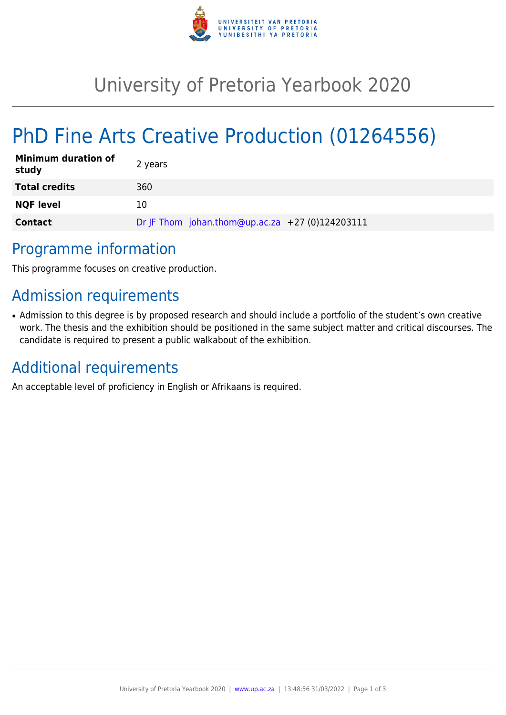

# University of Pretoria Yearbook 2020

# PhD Fine Arts Creative Production (01264556)

| <b>Minimum duration of</b><br>study | 2 years                                         |
|-------------------------------------|-------------------------------------------------|
| <b>Total credits</b>                | 360                                             |
| <b>NQF level</b>                    | 10                                              |
| <b>Contact</b>                      | Dr JF Thom johan.thom@up.ac.za +27 (0)124203111 |

### Programme information

This programme focuses on creative production.

## Admission requirements

• Admission to this degree is by proposed research and should include a portfolio of the student's own creative work. The thesis and the exhibition should be positioned in the same subject matter and critical discourses. The candidate is required to present a public walkabout of the exhibition.

### Additional requirements

An acceptable level of proficiency in English or Afrikaans is required.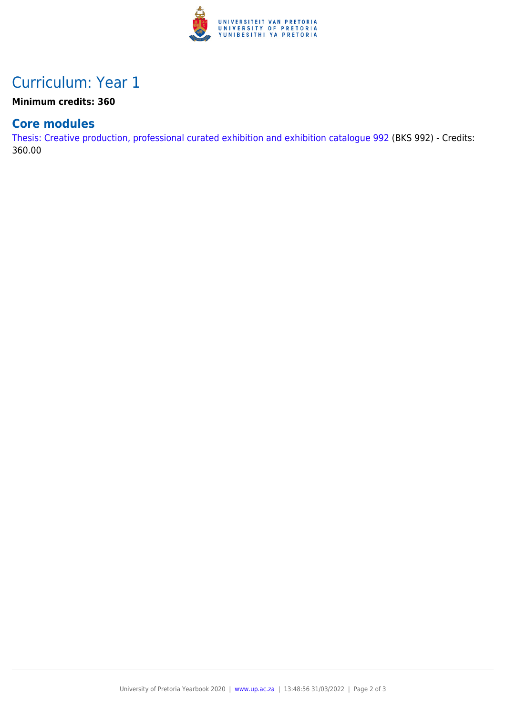

## Curriculum: Year 1

#### **Minimum credits: 360**

### **Core modules**

[Thesis: Creative production, professional curated exhibition and exhibition catalogue 992](https://www.up.ac.za/faculty-of-education/yearbooks/2020/modules/view/BKS 992) (BKS 992) - Credits: 360.00